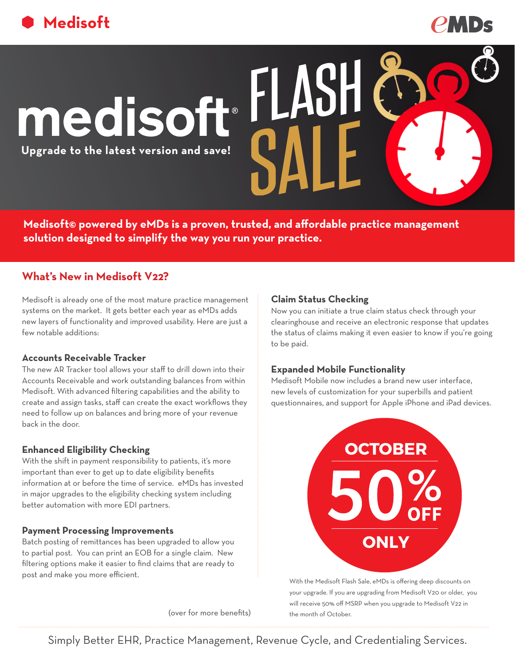



# medisoft

**Upgrade to the latest version and save!**

**Medisoft© powered by eMDs is a proven, trusted, and affordable practice management solution designed to simplify the way you run your practice.**

# **What's New in Medisoft V22?**

Medisoft is already one of the most mature practice management systems on the market. It gets better each year as eMDs adds new layers of functionality and improved usability. Here are just a few notable additions:

### **Accounts Receivable Tracker**

The new AR Tracker tool allows your staff to drill down into their Accounts Receivable and work outstanding balances from within Medisoft. With advanced filtering capabilities and the ability to create and assign tasks, staff can create the exact workflows they need to follow up on balances and bring more of your revenue back in the door.

# **Enhanced Eligibility Checking**

With the shift in payment responsibility to patients, it's more important than ever to get up to date eligibility benefits information at or before the time of service. eMDs has invested in major upgrades to the eligibility checking system including better automation with more EDI partners.

### **Payment Processing Improvements**

Batch posting of remittances has been upgraded to allow you to partial post. You can print an EOB for a single claim. New filtering options make it easier to find claims that are ready to post and make you more efficient.

(over for more benefits) the month of October.

## **Claim Status Checking**

Now you can initiate a true claim status check through your clearinghouse and receive an electronic response that updates the status of claims making it even easier to know if you're going to be paid.

## **Expanded Mobile Functionality**

Medisoft Mobile now includes a brand new user interface, new levels of customization for your superbills and patient questionnaires, and support for Apple iPhone and iPad devices.



With the Medisoft Flash Sale, eMDs is offering deep discounts on your upgrade. If you are upgrading from Medisoft V20 or older, you will receive 50% off MSRP when you upgrade to Medisoft V22 in

Simply Better EHR, Practice Management, Revenue Cycle, and Credentialing Services.